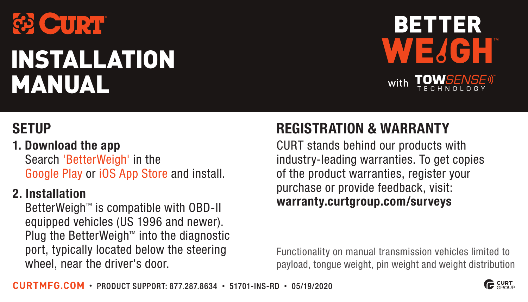

# INSTALLATION MANUAL



#### 1. Download the app

Search 'BetterWeigh' in the Google Play or iOS App Store and install.

#### 2. Installation

BetterWeigh™ is compatible with OBD-II equipped vehicles (US 1996 and newer). Plug the BetterWeigh™ into the diagnostic port, typically located below the steering wheel, near the driver's door.

## SETUP REGISTRATION & WARRANTY

CURT stands behind our products with industry-leading warranties. To get copies of the product warranties, register your purchase or provide feedback, visit: warranty.curtgroup.com/surveys

Functionality on manual transmission vehicles limited to payload, tongue weight, pin weight and weight distribution